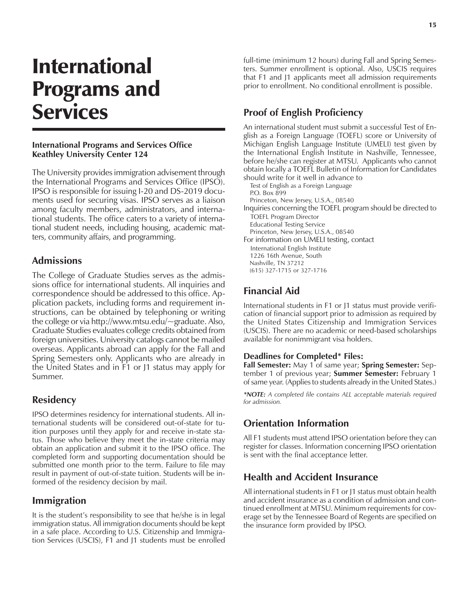# International Programs and **Services**

#### **International Programs and Services Office Keathley University Center 124**

The University provides immigration advisement through the International Programs and Services Office (IPSO). IPSO is responsible for issuing I-20 and DS-2019 documents used for securing visas. IPSO serves as a liaison among faculty members, administrators, and international students. The office caters to a variety of international student needs, including housing, academic matters, community affairs, and programming.

#### **Admissions**

The College of Graduate Studies serves as the admissions office for international students. All inquiries and correspondence should be addressed to this office. Application packets, including forms and requirement instructions, can be obtained by telephoning or writing the college or via http://www.mtsu.edu/~graduate. Also, Graduate Studies evaluates college credits obtained from foreign universities. University catalogs cannot be mailed overseas. Applicants abroad can apply for the Fall and Spring Semesters only. Applicants who are already in the United States and in F1 or J1 status may apply for Summer.

## **Residency**

IPSO determines residency for international students. All international students will be considered out-of-state for tuition purposes until they apply for and receive in-state status. Those who believe they meet the in-state criteria may obtain an application and submit it to the IPSO office. The completed form and supporting documentation should be submitted one month prior to the term. Failure to file may result in payment of out-of-state tuition. Students will be informed of the residency decision by mail.

## **Immigration**

It is the student's responsibility to see that he/she is in legal immigration status. All immigration documents should be kept in a safe place. According to U.S. Citizenship and Immigration Services (USCIS), F1 and J1 students must be enrolled full-time (minimum 12 hours) during Fall and Spring Semesters. Summer enrollment is optional. Also, USCIS requires that F1 and J1 applicants meet all admission requirements prior to enrollment. No conditional enrollment is possible.

# **Proof of English Proficiency**

An international student must submit a successful Test of English as a Foreign Language (TOEFL) score or University of Michigan English Language Institute (UMELI) test given by the International English Institute in Nashville, Tennessee, before he/she can register at MTSU. Applicants who cannot obtain locally a TOEFL Bulletin of Information for Candidates should write for it well in advance to Test of English as a Foreign Language

P.O. Box 899 Princeton, New Jersey, U.S.A., 08540

Inquiries concerning the TOEFL program should be directed to TOEFL Program Director

Educational Testing Service

Princeton, New Jersey, U.S.A., 08540 For information on UMELI testing, contact

International English Institute

1226 16th Avenue, South Nashville, TN 37212

(615) 327-1715 or 327-1716

## **Financial Aid**

International students in F1 or J1 status must provide verification of financial support prior to admission as required by the United States Citizenship and Immigration Services (USCIS). There are no academic or need-based scholarships available for nonimmigrant visa holders.

#### **Deadlines for Completed\* Files:**

**Fall Semester:** May 1 of same year; **Spring Semester:** September 1 of previous year; **Summer Semester:** February 1 of same year. (Applies to students already in the United States.)

*\*NOTE: A completed file contains ALL acceptable materials required for admission.*

## **Orientation Information**

All F1 students must attend IPSO orientation before they can register for classes. Information concerning IPSO orientation is sent with the final acceptance letter.

## **Health and Accident Insurance**

All international students in F1 or J1 status must obtain health and accident insurance as a condition of admission and continued enrollment at MTSU. Minimum requirements for coverage set by the Tennessee Board of Regents are specified on the insurance form provided by IPSO.